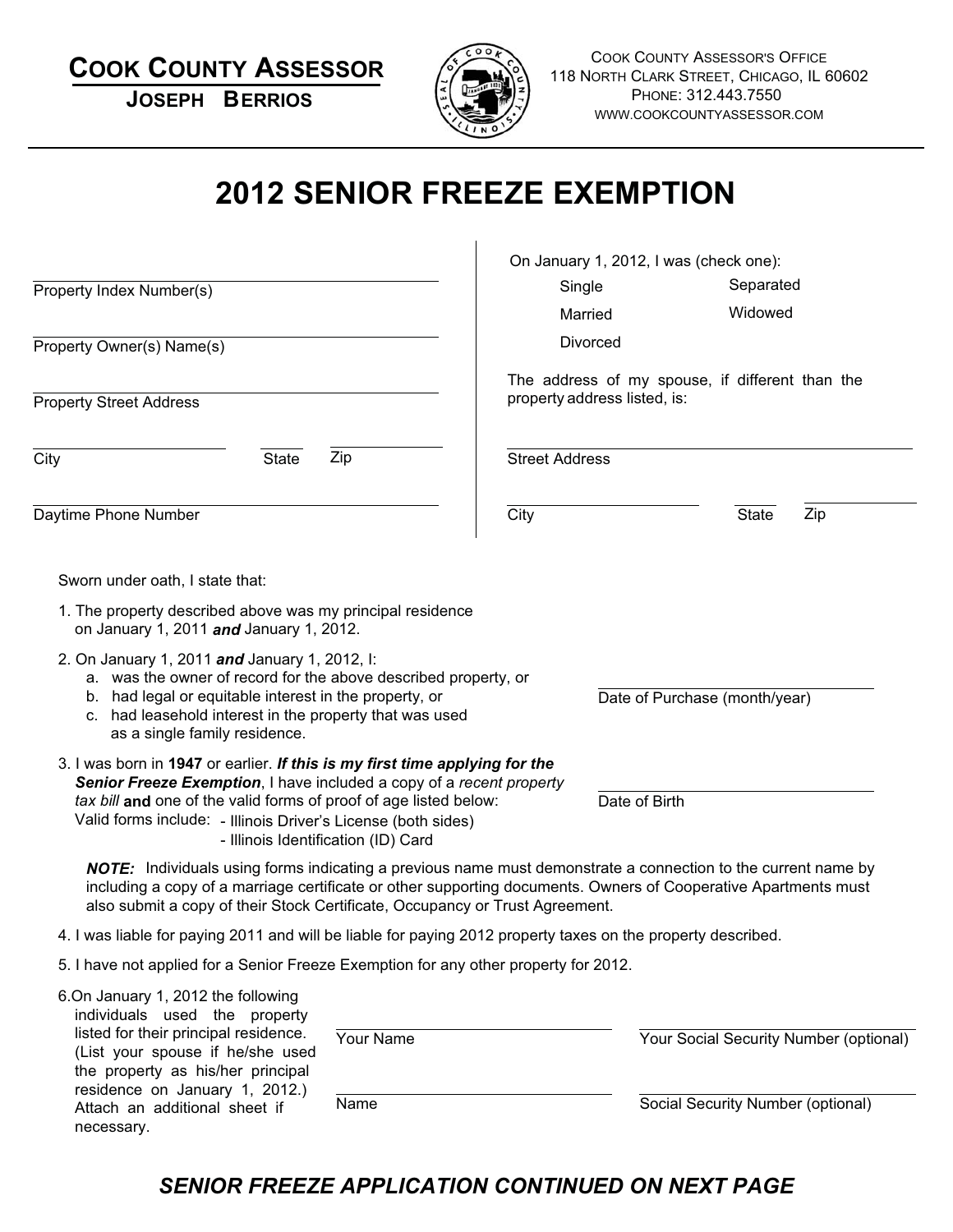| <b>COOK COUNTY ASSESSOR</b><br><b>JOSEPH BERRIOS</b>                                                                                                                                                                                                                                                                             |                       |                                                                                 | <b>COOK COUNTY ASSESSOR'S OFFICE</b><br>118 NORTH CLARK STREET, CHICAGO, IL 60602<br>PHONE: 312.443.7550<br>WWW.COOKCOUNTYASSESSOR.COM |  |
|----------------------------------------------------------------------------------------------------------------------------------------------------------------------------------------------------------------------------------------------------------------------------------------------------------------------------------|-----------------------|---------------------------------------------------------------------------------|----------------------------------------------------------------------------------------------------------------------------------------|--|
| <b>2012 SENIOR FREEZE EXEMPTION</b>                                                                                                                                                                                                                                                                                              |                       |                                                                                 |                                                                                                                                        |  |
|                                                                                                                                                                                                                                                                                                                                  |                       | On January 1, 2012, I was (check one):                                          |                                                                                                                                        |  |
| Property Index Number(s)                                                                                                                                                                                                                                                                                                         |                       | Single                                                                          | Separated                                                                                                                              |  |
|                                                                                                                                                                                                                                                                                                                                  |                       | Married                                                                         | Widowed                                                                                                                                |  |
| Property Owner(s) Name(s)                                                                                                                                                                                                                                                                                                        |                       | <b>Divorced</b>                                                                 |                                                                                                                                        |  |
| <b>Property Street Address</b>                                                                                                                                                                                                                                                                                                   |                       | The address of my spouse, if different than the<br>property address listed, is: |                                                                                                                                        |  |
| Zip<br><b>State</b><br>City                                                                                                                                                                                                                                                                                                      | <b>Street Address</b> |                                                                                 |                                                                                                                                        |  |
| Daytime Phone Number                                                                                                                                                                                                                                                                                                             | City                  |                                                                                 | Zip<br><b>State</b>                                                                                                                    |  |
| Sworn under oath, I state that:<br>1. The property described above was my principal residence<br>on January 1, 2011 and January 1, 2012.                                                                                                                                                                                         |                       |                                                                                 |                                                                                                                                        |  |
| 2. On January 1, 2011 and January 1, 2012, I:<br>a. was the owner of record for the above described property, or<br>b. had legal or equitable interest in the property, or<br>c. had leasehold interest in the property that was used<br>as a single family residence.                                                           |                       |                                                                                 | Date of Purchase (month/year)                                                                                                          |  |
| 3. I was born in 1947 or earlier. If this is my first time applying for the<br>Senior Freeze Exemption, I have included a copy of a recent property<br>tax bill and one of the valid forms of proof of age listed below:<br>Valid forms include: - Illinois Driver's License (both sides)<br>- Illinois Identification (ID) Card |                       | Date of Birth                                                                   |                                                                                                                                        |  |
| <b>NOTE:</b> Individuals using forms indicating a previous name must demonstrate a connection to the current name by<br>including a copy of a marriage certificate or other supporting documents. Owners of Cooperative Apartments must<br>also submit a copy of their Stock Certificate, Occupancy or Trust Agreement.          |                       |                                                                                 |                                                                                                                                        |  |

- 4. I was liable for paying 2011 and will be liable for paying 2012 property taxes on the property described.
- 5. I have not applied for a Senior Freeze Exemption for any other property for 2012.

| 6.On January 1, 2012 the following<br>individuals used the property                                                                              |           |                                        |
|--------------------------------------------------------------------------------------------------------------------------------------------------|-----------|----------------------------------------|
| listed for their principal residence.<br>(List your spouse if he/she used<br>the property as his/her principal<br>residence on January 1, 2012.) | Your Name | Your Social Security Number (optional) |
| Attach an additional sheet if<br>necessary.                                                                                                      | Name      | Social Security Number (optional)      |

# *SENIOR FREEZE APPLICATION CONTINUED ON NEXT PAGE*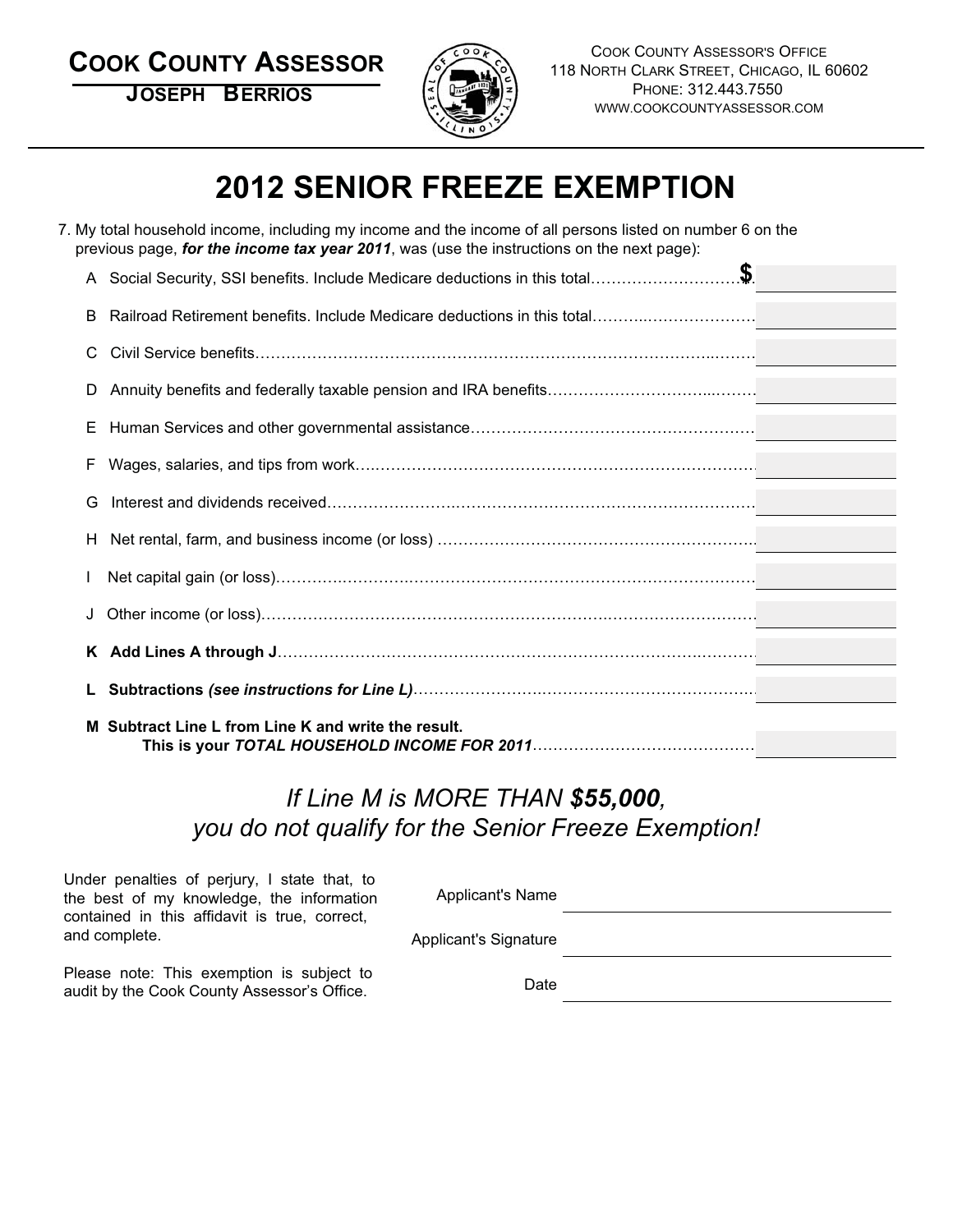**COOK COUNTY ASSESSOR**

**JOSEPH BERRIOS**



COOK COUNTY ASSESSOR'S OFFICE 118 NORTH CLARK STREET, CHICAGO, IL 60602 PHONE: 312.443.7550 WWW.COOKCOUNTYASSESSOR.COM

# **2012 SENIOR FREEZE EXEMPTION**

|    | 7. My total household income, including my income and the income of all persons listed on number 6 on the<br>previous page, for the income tax year 2011, was (use the instructions on the next page): |  |
|----|--------------------------------------------------------------------------------------------------------------------------------------------------------------------------------------------------------|--|
|    |                                                                                                                                                                                                        |  |
| B  |                                                                                                                                                                                                        |  |
| C  |                                                                                                                                                                                                        |  |
|    |                                                                                                                                                                                                        |  |
| E. |                                                                                                                                                                                                        |  |
| F  |                                                                                                                                                                                                        |  |
| G  |                                                                                                                                                                                                        |  |
| H. |                                                                                                                                                                                                        |  |
|    |                                                                                                                                                                                                        |  |
|    |                                                                                                                                                                                                        |  |
| K. |                                                                                                                                                                                                        |  |
|    |                                                                                                                                                                                                        |  |
|    | M Subtract Line L from Line K and write the result.                                                                                                                                                    |  |

# *If Line M is MORE THAN \$55,000, you do not qualify for the Senior Freeze Exemption!*

Under penalties of perjury, I state that, to the best of my knowledge, the information contained in this affidavit is true, correct, and complete.

Applicant's Name

Applicant's Signature

Please note: This exemption is subject to audit by the Cook County Assessor's Office.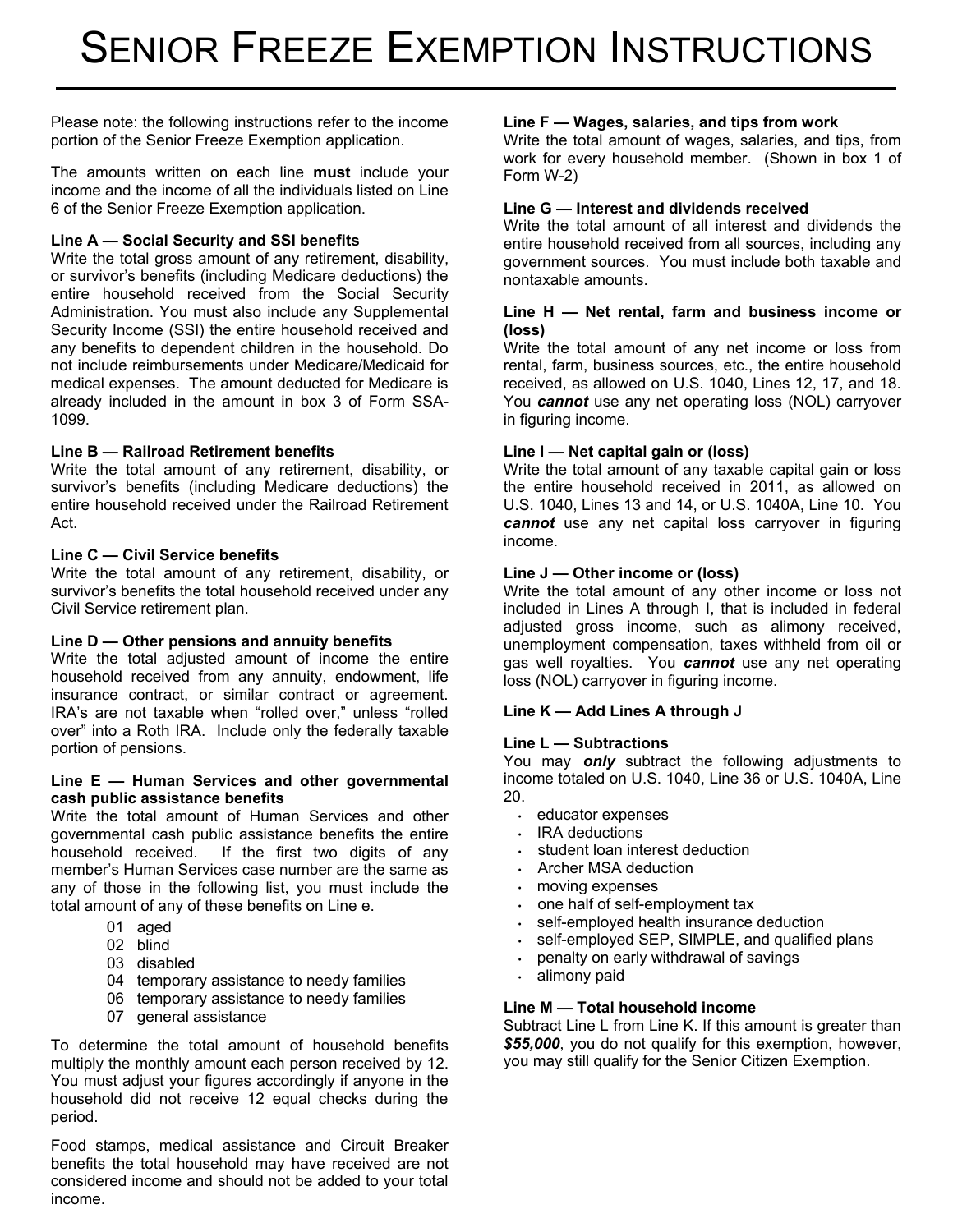Please note: the following instructions refer to the income portion of the Senior Freeze Exemption application.

The amounts written on each line **must** include your income and the income of all the individuals listed on Line 6 of the Senior Freeze Exemption application.

#### **Line A — Social Security and SSI benefits**

Write the total gross amount of any retirement, disability, or survivor's benefits (including Medicare deductions) the entire household received from the Social Security Administration. You must also include any Supplemental Security Income (SSI) the entire household received and any benefits to dependent children in the household. Do not include reimbursements under Medicare/Medicaid for medical expenses. The amount deducted for Medicare is already included in the amount in box 3 of Form SSA-1099.

#### **Line B — Railroad Retirement benefits**

Write the total amount of any retirement, disability, or survivor's benefits (including Medicare deductions) the entire household received under the Railroad Retirement Act.

#### **Line C — Civil Service benefits**

Write the total amount of any retirement, disability, or survivor's benefits the total household received under any Civil Service retirement plan.

#### **Line D — Other pensions and annuity benefits**

Write the total adjusted amount of income the entire household received from any annuity, endowment, life insurance contract, or similar contract or agreement. IRA's are not taxable when "rolled over," unless "rolled over" into a Roth IRA. Include only the federally taxable portion of pensions.

#### **Line E — Human Services and other governmental cash public assistance benefits**

Write the total amount of Human Services and other governmental cash public assistance benefits the entire household received. If the first two digits of any member's Human Services case number are the same as any of those in the following list, you must include the total amount of any of these benefits on Line e.

- 01 aged
- 02 blind
- 03 disabled
- 04 temporary assistance to needy families
- 06 temporary assistance to needy families
- 07 general assistance

To determine the total amount of household benefits multiply the monthly amount each person received by 12. You must adjust your figures accordingly if anyone in the household did not receive 12 equal checks during the period.

Food stamps, medical assistance and Circuit Breaker benefits the total household may have received are not considered income and should not be added to your total income.

#### **Line F — Wages, salaries, and tips from work**

Write the total amount of wages, salaries, and tips, from work for every household member. (Shown in box 1 of Form W-2)

#### **Line G — Interest and dividends received**

Write the total amount of all interest and dividends the entire household received from all sources, including any government sources. You must include both taxable and nontaxable amounts.

#### **Line H — Net rental, farm and business income or (loss)**

Write the total amount of any net income or loss from rental, farm, business sources, etc., the entire household received, as allowed on U.S. 1040, Lines 12, 17, and 18. You *cannot* use any net operating loss (NOL) carryover in figuring income.

#### **Line I — Net capital gain or (loss)**

Write the total amount of any taxable capital gain or loss the entire household received in 2011, as allowed on U.S. 1040, Lines 13 and 14, or U.S. 1040A, Line 10. You *cannot* use any net capital loss carryover in figuring income.

#### **Line J — Other income or (loss)**

Write the total amount of any other income or loss not included in Lines A through I, that is included in federal adjusted gross income, such as alimony received, unemployment compensation, taxes withheld from oil or gas well royalties. You *cannot* use any net operating loss (NOL) carryover in figuring income.

#### **Line K — Add Lines A through J**

#### **Line L — Subtractions**

You may *only* subtract the following adjustments to income totaled on U.S. 1040, Line 36 or U.S. 1040A, Line 20.

- educator expenses
- IRA deductions
- student loan interest deduction
- Archer MSA deduction
- moving expenses
- one half of self-employment tax
- self-employed health insurance deduction
- self-employed SEP, SIMPLE, and qualified plans
- penalty on early withdrawal of savings
- alimony paid

#### **Line M — Total household income**

Subtract Line L from Line K. If this amount is greater than *\$55,000*, you do not qualify for this exemption, however, you may still qualify for the Senior Citizen Exemption.